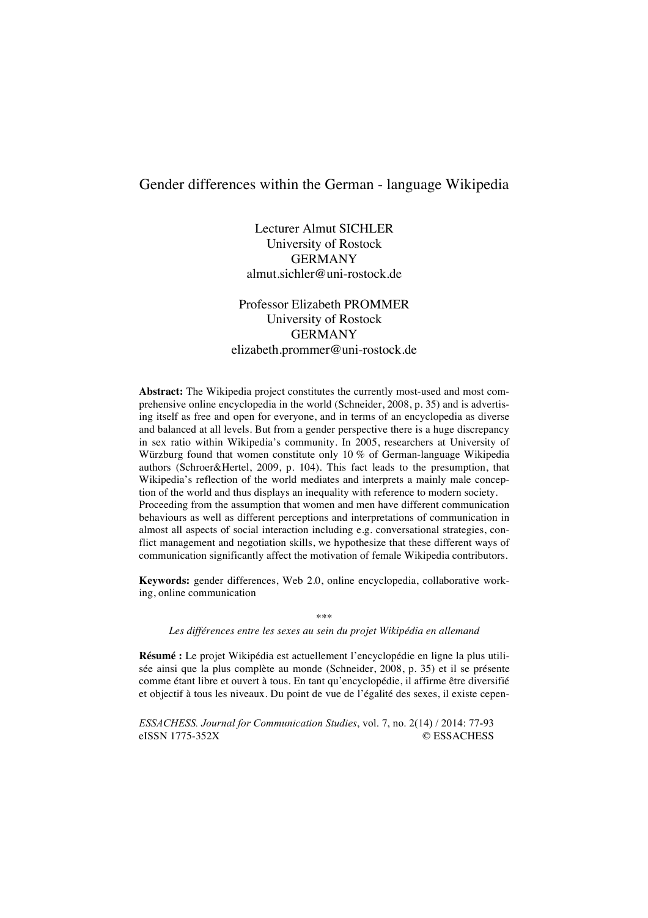# Gender differences within the German - language Wikipedia

Lecturer Almut SICHLER University of Rostock GERMANY almut.sichler@uni-rostock.de

Professor Elizabeth PROMMER University of Rostock GERMANY elizabeth.prommer@uni-rostock.de

**Abstract:** The Wikipedia project constitutes the currently most-used and most comprehensive online encyclopedia in the world (Schneider, 2008, p. 35) and is advertising itself as free and open for everyone, and in terms of an encyclopedia as diverse and balanced at all levels. But from a gender perspective there is a huge discrepancy in sex ratio within Wikipedia's community. In 2005, researchers at University of Würzburg found that women constitute only 10 % of German-language Wikipedia authors (Schroer&Hertel, 2009, p. 104). This fact leads to the presumption, that Wikipedia's reflection of the world mediates and interprets a mainly male conception of the world and thus displays an inequality with reference to modern society. Proceeding from the assumption that women and men have different communication behaviours as well as different perceptions and interpretations of communication in almost all aspects of social interaction including e.g. conversational strategies, conflict management and negotiation skills, we hypothesize that these different ways of communication significantly affect the motivation of female Wikipedia contributors.

**Keywords:** gender differences, Web 2.0, online encyclopedia, collaborative working, online communication

\*\*\*

*Les différences entre les sexes au sein du projet Wikipédia en allemand*

**Résumé :** Le projet Wikipédia est actuellement l'encyclopédie en ligne la plus utilisée ainsi que la plus complète au monde (Schneider, 2008, p. 35) et il se présente comme étant libre et ouvert à tous. En tant qu'encyclopédie, il affirme être diversifié et objectif à tous les niveaux. Du point de vue de l'égalité des sexes, il existe cepen-

*ESSACHESS. Journal for Communication Studies*, vol. 7, no. 2(14) / 2014: 77-93 eISSN 1775-352X © ESSACHESS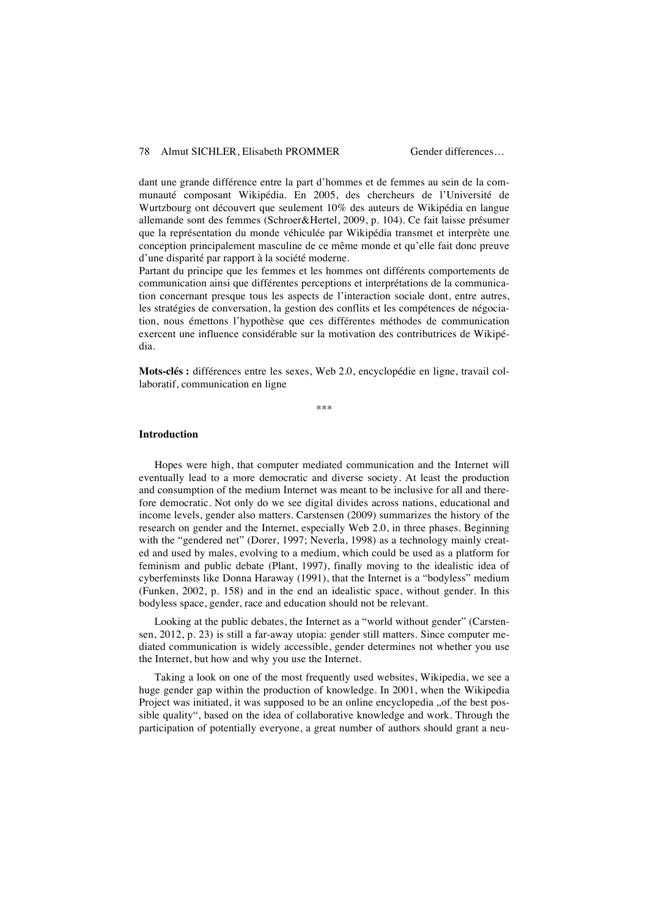dant une grande différence entre la part d'hommes et de femmes au sein de la communauté composant Wikipédia. En 2005, des chercheurs de l'Université de Wurtzbourg ont découvert que seulement 10% des auteurs de Wikipédia en langue allemande sont des femmes (Schroer&Hertel, 2009, p. 104). Ce fait laisse présumer que la représentation du monde véhiculée par Wikipédia transmet et interprète une conception principalement masculine de ce même monde et qu'elle fait donc preuve d'une disparité par rapport à la société moderne.

Partant du principe que les femmes et les hommes ont différents comportements de communication ainsi que différentes perceptions et interprétations de la communication concernant presque tous les aspects de l'interaction sociale dont, entre autres, les stratégies de conversation, la gestion des conflits et les compétences de négociation, nous émettons l'hypothèse que ces différentes méthodes de communication exercent une influence considérable sur la motivation des contributrices de Wikipédia.

**Mots-clés :** différences entre les sexes, Web 2.0, encyclopédie en ligne, travail collaboratif, communication en ligne

\*\*\*

#### **Introduction**

Hopes were high, that computer mediated communication and the Internet will eventually lead to a more democratic and diverse society. At least the production and consumption of the medium Internet was meant to be inclusive for all and therefore democratic. Not only do we see digital divides across nations, educational and income levels, gender also matters. Carstensen (2009) summarizes the history of the research on gender and the Internet, especially Web 2.0, in three phases. Beginning with the "gendered net" (Dorer, 1997; Neverla, 1998) as a technology mainly created and used by males, evolving to a medium, which could be used as a platform for feminism and public debate (Plant, 1997), finally moving to the idealistic idea of cyberfeminsts like Donna Haraway (1991), that the Internet is a "bodyless" medium (Funken, 2002, p. 158) and in the end an idealistic space, without gender. In this bodyless space, gender, race and education should not be relevant.

Looking at the public debates, the Internet as a "world without gender" (Carstensen, 2012, p. 23) is still a far-away utopia: gender still matters. Since computer mediated communication is widely accessible, gender determines not whether you use the Internet, but how and why you use the Internet.

Taking a look on one of the most frequently used websites, Wikipedia, we see a huge gender gap within the production of knowledge. In 2001, when the Wikipedia Project was initiated, it was supposed to be an online encyclopedia "of the best possible quality", based on the idea of collaborative knowledge and work. Through the participation of potentially everyone, a great number of authors should grant a neu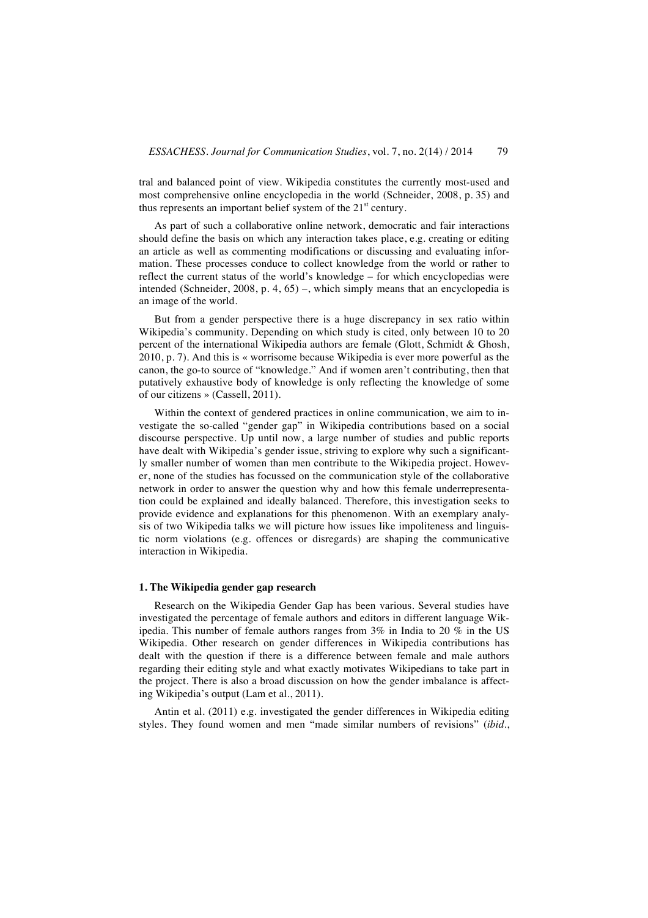tral and balanced point of view. Wikipedia constitutes the currently most-used and most comprehensive online encyclopedia in the world (Schneider, 2008, p. 35) and thus represents an important belief system of the  $21<sup>st</sup>$  century.

As part of such a collaborative online network, democratic and fair interactions should define the basis on which any interaction takes place, e.g. creating or editing an article as well as commenting modifications or discussing and evaluating information. These processes conduce to collect knowledge from the world or rather to reflect the current status of the world's knowledge – for which encyclopedias were intended (Schneider, 2008, p. 4, 65) –, which simply means that an encyclopedia is an image of the world.

But from a gender perspective there is a huge discrepancy in sex ratio within Wikipedia's community. Depending on which study is cited, only between 10 to 20 percent of the international Wikipedia authors are female (Glott, Schmidt & Ghosh, 2010, p. 7). And this is « worrisome because Wikipedia is ever more powerful as the canon, the go-to source of "knowledge." And if women aren't contributing, then that putatively exhaustive body of knowledge is only reflecting the knowledge of some of our citizens » (Cassell, 2011).

Within the context of gendered practices in online communication, we aim to investigate the so-called "gender gap" in Wikipedia contributions based on a social discourse perspective. Up until now, a large number of studies and public reports have dealt with Wikipedia's gender issue, striving to explore why such a significantly smaller number of women than men contribute to the Wikipedia project. However, none of the studies has focussed on the communication style of the collaborative network in order to answer the question why and how this female underrepresentation could be explained and ideally balanced. Therefore, this investigation seeks to provide evidence and explanations for this phenomenon. With an exemplary analysis of two Wikipedia talks we will picture how issues like impoliteness and linguistic norm violations (e.g. offences or disregards) are shaping the communicative interaction in Wikipedia.

#### **1. The Wikipedia gender gap research**

Research on the Wikipedia Gender Gap has been various. Several studies have investigated the percentage of female authors and editors in different language Wikipedia. This number of female authors ranges from 3% in India to 20 % in the US Wikipedia. Other research on gender differences in Wikipedia contributions has dealt with the question if there is a difference between female and male authors regarding their editing style and what exactly motivates Wikipedians to take part in the project. There is also a broad discussion on how the gender imbalance is affecting Wikipedia's output (Lam et al., 2011).

Antin et al. (2011) e.g. investigated the gender differences in Wikipedia editing styles. They found women and men "made similar numbers of revisions" (*ibid*.,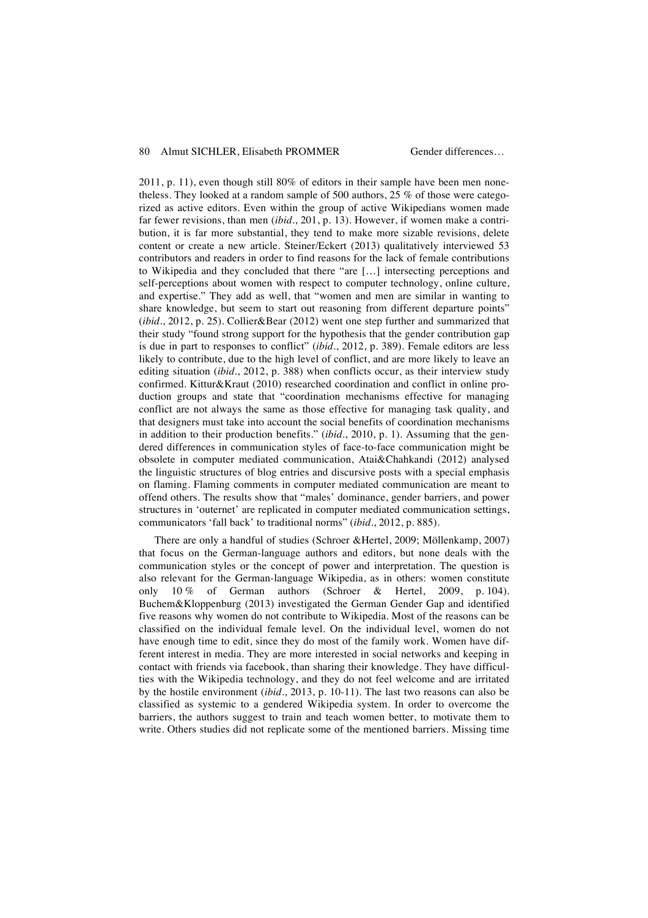2011, p. 11), even though still 80% of editors in their sample have been men nonetheless. They looked at a random sample of 500 authors, 25 % of those were categorized as active editors. Even within the group of active Wikipedians women made far fewer revisions, than men (*ibid*., 201, p. 13). However, if women make a contribution, it is far more substantial, they tend to make more sizable revisions, delete content or create a new article. Steiner/Eckert (2013) qualitatively interviewed 53 contributors and readers in order to find reasons for the lack of female contributions to Wikipedia and they concluded that there "are […] intersecting perceptions and self-perceptions about women with respect to computer technology, online culture, and expertise." They add as well, that "women and men are similar in wanting to share knowledge, but seem to start out reasoning from different departure points" (*ibid*., 2012, p. 25). Collier&Bear (2012) went one step further and summarized that their study "found strong support for the hypothesis that the gender contribution gap is due in part to responses to conflict" (*ibid*., 2012, p. 389). Female editors are less likely to contribute, due to the high level of conflict, and are more likely to leave an editing situation (*ibid*., 2012, p. 388) when conflicts occur, as their interview study confirmed. Kittur&Kraut (2010) researched coordination and conflict in online production groups and state that "coordination mechanisms effective for managing conflict are not always the same as those effective for managing task quality, and that designers must take into account the social benefits of coordination mechanisms in addition to their production benefits." (*ibid*., 2010, p. 1). Assuming that the gendered differences in communication styles of face-to-face communication might be obsolete in computer mediated communication, Atai&Chahkandi (2012) analysed the linguistic structures of blog entries and discursive posts with a special emphasis on flaming. Flaming comments in computer mediated communication are meant to offend others. The results show that "males' dominance, gender barriers, and power structures in 'outernet' are replicated in computer mediated communication settings, communicators 'fall back' to traditional norms" (*ibid*., 2012, p. 885).

There are only a handful of studies (Schroer &Hertel, 2009; Möllenkamp, 2007) that focus on the German-language authors and editors, but none deals with the communication styles or the concept of power and interpretation. The question is also relevant for the German-language Wikipedia, as in others: women constitute only 10 % of German authors (Schroer & Hertel, 2009, p. 104). Buchem&Kloppenburg (2013) investigated the German Gender Gap and identified five reasons why women do not contribute to Wikipedia. Most of the reasons can be classified on the individual female level. On the individual level, women do not have enough time to edit, since they do most of the family work. Women have different interest in media. They are more interested in social networks and keeping in contact with friends via facebook, than sharing their knowledge. They have difficulties with the Wikipedia technology, and they do not feel welcome and are irritated by the hostile environment (*ibid*., 2013, p. 10-11). The last two reasons can also be classified as systemic to a gendered Wikipedia system. In order to overcome the barriers, the authors suggest to train and teach women better, to motivate them to write. Others studies did not replicate some of the mentioned barriers. Missing time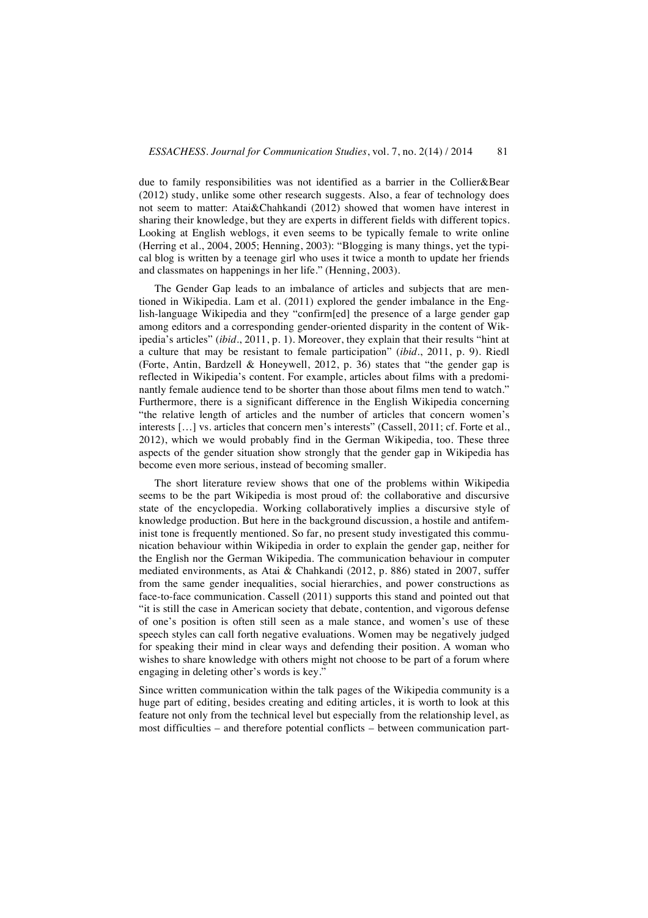due to family responsibilities was not identified as a barrier in the Collier&Bear (2012) study, unlike some other research suggests. Also, a fear of technology does not seem to matter: Atai&Chahkandi (2012) showed that women have interest in sharing their knowledge, but they are experts in different fields with different topics. Looking at English weblogs, it even seems to be typically female to write online (Herring et al., 2004, 2005; Henning, 2003): "Blogging is many things, yet the typical blog is written by a teenage girl who uses it twice a month to update her friends and classmates on happenings in her life." (Henning, 2003).

The Gender Gap leads to an imbalance of articles and subjects that are mentioned in Wikipedia. Lam et al. (2011) explored the gender imbalance in the English-language Wikipedia and they "confirm[ed] the presence of a large gender gap among editors and a corresponding gender-oriented disparity in the content of Wikipedia's articles" (*ibid*., 2011, p. 1). Moreover, they explain that their results "hint at a culture that may be resistant to female participation" (*ibid*., 2011, p. 9). Riedl (Forte, Antin, Bardzell & Honeywell, 2012, p. 36) states that "the gender gap is reflected in Wikipedia's content. For example, articles about films with a predominantly female audience tend to be shorter than those about films men tend to watch." Furthermore, there is a significant difference in the English Wikipedia concerning "the relative length of articles and the number of articles that concern women's interests […] vs. articles that concern men's interests" (Cassell, 2011; cf. Forte et al., 2012), which we would probably find in the German Wikipedia, too. These three aspects of the gender situation show strongly that the gender gap in Wikipedia has become even more serious, instead of becoming smaller.

The short literature review shows that one of the problems within Wikipedia seems to be the part Wikipedia is most proud of: the collaborative and discursive state of the encyclopedia. Working collaboratively implies a discursive style of knowledge production. But here in the background discussion, a hostile and antifeminist tone is frequently mentioned. So far, no present study investigated this communication behaviour within Wikipedia in order to explain the gender gap, neither for the English nor the German Wikipedia. The communication behaviour in computer mediated environments, as Atai & Chahkandi (2012, p. 886) stated in 2007, suffer from the same gender inequalities, social hierarchies, and power constructions as face-to-face communication. Cassell (2011) supports this stand and pointed out that "it is still the case in American society that debate, contention, and vigorous defense of one's position is often still seen as a male stance, and women's use of these speech styles can call forth negative evaluations. Women may be negatively judged for speaking their mind in clear ways and defending their position. A woman who wishes to share knowledge with others might not choose to be part of a forum where engaging in deleting other's words is key."

Since written communication within the talk pages of the Wikipedia community is a huge part of editing, besides creating and editing articles, it is worth to look at this feature not only from the technical level but especially from the relationship level, as most difficulties – and therefore potential conflicts – between communication part-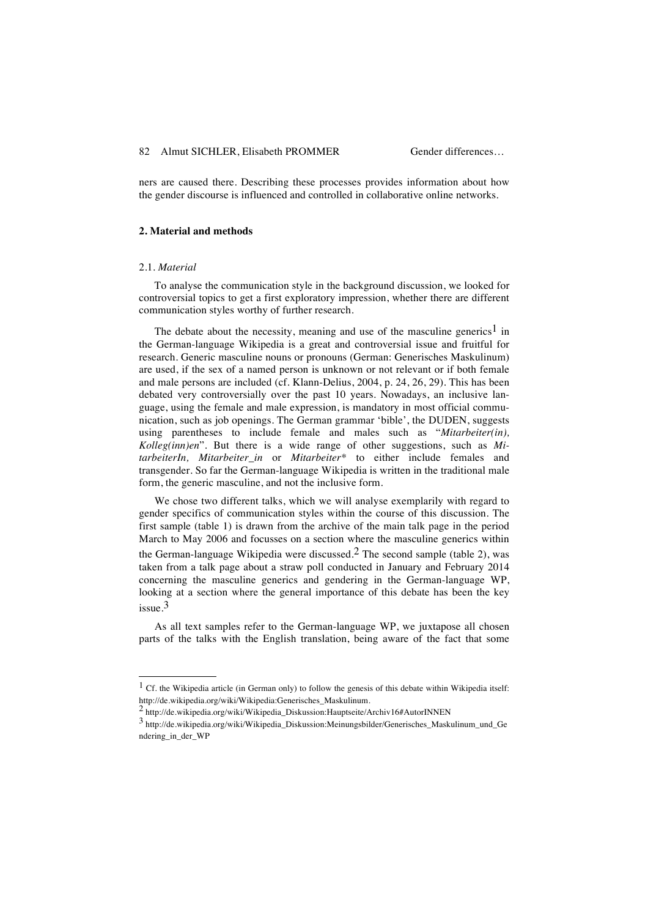ners are caused there. Describing these processes provides information about how the gender discourse is influenced and controlled in collaborative online networks.

#### **2. Material and methods**

#### 2.1. *Material*

l

To analyse the communication style in the background discussion, we looked for controversial topics to get a first exploratory impression, whether there are different communication styles worthy of further research.

The debate about the necessity, meaning and use of the masculine generics<sup>1</sup> in the German-language Wikipedia is a great and controversial issue and fruitful for research. Generic masculine nouns or pronouns (German: Generisches Maskulinum) are used, if the sex of a named person is unknown or not relevant or if both female and male persons are included (cf. Klann-Delius, 2004, p. 24, 26, 29). This has been debated very controversially over the past 10 years. Nowadays, an inclusive language, using the female and male expression, is mandatory in most official communication, such as job openings. The German grammar 'bible', the DUDEN, suggests using parentheses to include female and males such as "*Mitarbeiter(in), Kolleg(inn)en*". But there is a wide range of other suggestions, such as *MitarbeiterIn, Mitarbeiter\_in* or *Mitarbeiter\** to either include females and transgender. So far the German-language Wikipedia is written in the traditional male form, the generic masculine, and not the inclusive form.

We chose two different talks, which we will analyse exemplarily with regard to gender specifics of communication styles within the course of this discussion. The first sample (table 1) is drawn from the archive of the main talk page in the period March to May 2006 and focusses on a section where the masculine generics within the German-language Wikipedia were discussed.<sup>2</sup> The second sample (table 2), was taken from a talk page about a straw poll conducted in January and February 2014 concerning the masculine generics and gendering in the German-language WP, looking at a section where the general importance of this debate has been the key issue<sup>3</sup>

As all text samples refer to the German-language WP, we juxtapose all chosen parts of the talks with the English translation, being aware of the fact that some

<sup>&</sup>lt;sup>1</sup> Cf. the Wikipedia article (in German only) to follow the genesis of this debate within Wikipedia itself: http://de.wikipedia.org/wiki/Wikipedia:Generisches\_Maskulinum.

 $\frac{2}{\pi}$ http://de.wikipedia.org/wiki/Wikipedia\_Diskussion:Hauptseite/Archiv16#AutorINNEN

<sup>3</sup> http://de.wikipedia.org/wiki/Wikipedia\_Diskussion:Meinungsbilder/Generisches\_Maskulinum\_und\_Ge ndering\_in\_der\_WP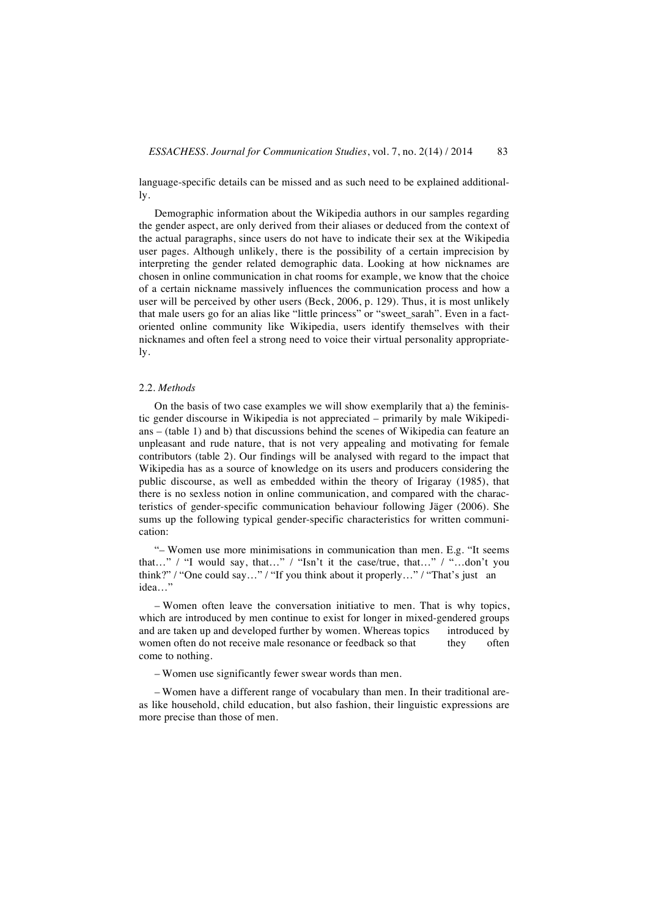language-specific details can be missed and as such need to be explained additionally.

Demographic information about the Wikipedia authors in our samples regarding the gender aspect, are only derived from their aliases or deduced from the context of the actual paragraphs, since users do not have to indicate their sex at the Wikipedia user pages. Although unlikely, there is the possibility of a certain imprecision by interpreting the gender related demographic data. Looking at how nicknames are chosen in online communication in chat rooms for example, we know that the choice of a certain nickname massively influences the communication process and how a user will be perceived by other users (Beck, 2006, p. 129). Thus, it is most unlikely that male users go for an alias like "little princess" or "sweet\_sarah". Even in a factoriented online community like Wikipedia, users identify themselves with their nicknames and often feel a strong need to voice their virtual personality appropriately.

#### 2.2. *Methods*

On the basis of two case examples we will show exemplarily that a) the feministic gender discourse in Wikipedia is not appreciated – primarily by male Wikipedians – (table 1) and b) that discussions behind the scenes of Wikipedia can feature an unpleasant and rude nature, that is not very appealing and motivating for female contributors (table 2). Our findings will be analysed with regard to the impact that Wikipedia has as a source of knowledge on its users and producers considering the public discourse, as well as embedded within the theory of Irigaray (1985), that there is no sexless notion in online communication, and compared with the characteristics of gender-specific communication behaviour following Jäger (2006). She sums up the following typical gender-specific characteristics for written communication:

"– Women use more minimisations in communication than men. E.g. "It seems that…" / "I would say, that…" / "Isn't it the case/true, that…" / "…don't you think?" / "One could say…" / "If you think about it properly…" / "That's just an idea…"

– Women often leave the conversation initiative to men. That is why topics, which are introduced by men continue to exist for longer in mixed-gendered groups and are taken up and developed further by women. Whereas topics introduced by women often do not receive male resonance or feedback so that they often come to nothing.

– Women use significantly fewer swear words than men.

– Women have a different range of vocabulary than men. In their traditional areas like household, child education, but also fashion, their linguistic expressions are more precise than those of men.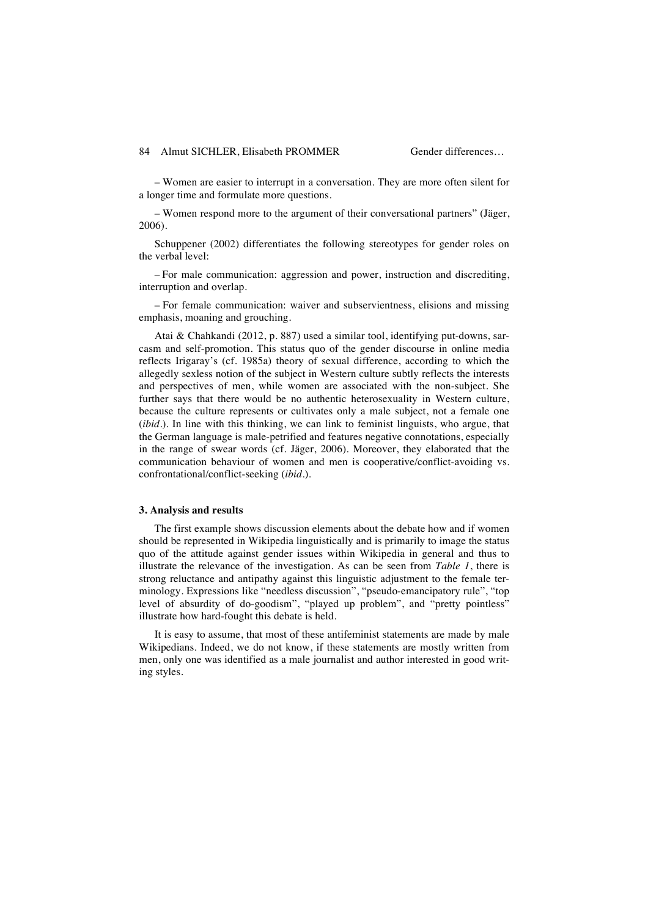– Women are easier to interrupt in a conversation. They are more often silent for a longer time and formulate more questions.

– Women respond more to the argument of their conversational partners" (Jäger, 2006).

Schuppener (2002) differentiates the following stereotypes for gender roles on the verbal level:

– For male communication: aggression and power, instruction and discrediting, interruption and overlap.

– For female communication: waiver and subservientness, elisions and missing emphasis, moaning and grouching.

Atai & Chahkandi (2012, p. 887) used a similar tool, identifying put-downs, sarcasm and self-promotion. This status quo of the gender discourse in online media reflects Irigaray's (cf. 1985a) theory of sexual difference, according to which the allegedly sexless notion of the subject in Western culture subtly reflects the interests and perspectives of men, while women are associated with the non-subject. She further says that there would be no authentic heterosexuality in Western culture, because the culture represents or cultivates only a male subject, not a female one (*ibid*.). In line with this thinking, we can link to feminist linguists, who argue, that the German language is male-petrified and features negative connotations, especially in the range of swear words (cf. Jäger, 2006). Moreover, they elaborated that the communication behaviour of women and men is cooperative/conflict-avoiding vs. confrontational/conflict-seeking (*ibid*.).

#### **3. Analysis and results**

The first example shows discussion elements about the debate how and if women should be represented in Wikipedia linguistically and is primarily to image the status quo of the attitude against gender issues within Wikipedia in general and thus to illustrate the relevance of the investigation. As can be seen from *Table 1*, there is strong reluctance and antipathy against this linguistic adjustment to the female terminology. Expressions like "needless discussion", "pseudo-emancipatory rule", "top level of absurdity of do-goodism", "played up problem", and "pretty pointless" illustrate how hard-fought this debate is held.

It is easy to assume, that most of these antifeminist statements are made by male Wikipedians. Indeed, we do not know, if these statements are mostly written from men, only one was identified as a male journalist and author interested in good writing styles.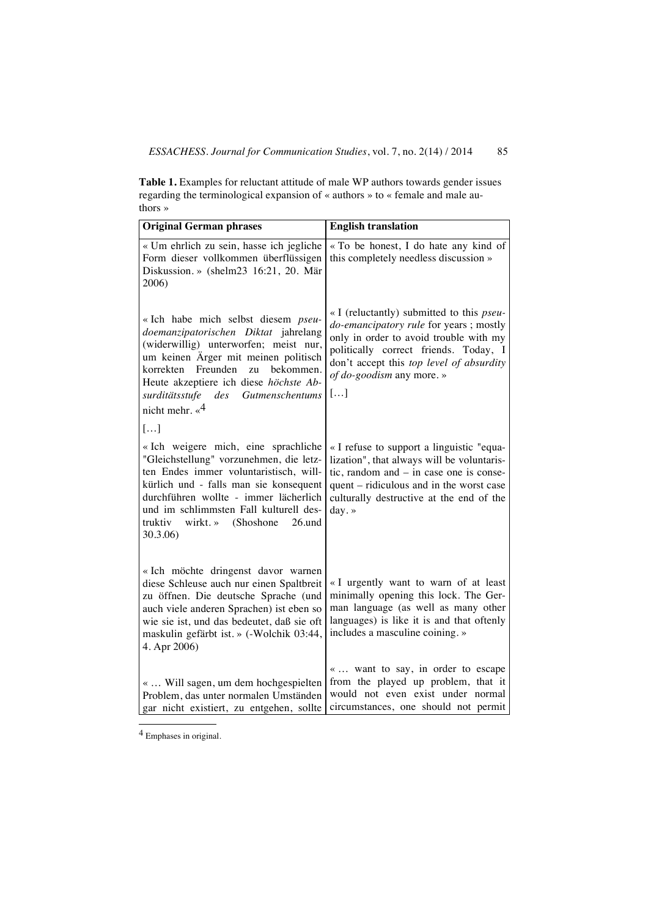**Table 1.** Examples for reluctant attitude of male WP authors towards gender issues regarding the terminological expansion of « authors » to « female and male authors »

| <b>Original German phrases</b>                                                                                                                                                                                                                                                                                | <b>English translation</b>                                                                                                                                                                                                                                    |
|---------------------------------------------------------------------------------------------------------------------------------------------------------------------------------------------------------------------------------------------------------------------------------------------------------------|---------------------------------------------------------------------------------------------------------------------------------------------------------------------------------------------------------------------------------------------------------------|
| « Um ehrlich zu sein, hasse ich jegliche<br>Form dieser vollkommen überflüssigen<br>Diskussion. » (shelm23 16:21, 20. Mär<br>2006)                                                                                                                                                                            | « To be honest, I do hate any kind of<br>this completely needless discussion »                                                                                                                                                                                |
| « Ich habe mich selbst diesem pseu-<br>doemanzipatorischen Diktat jahrelang<br>(widerwillig) unterworfen; meist nur,<br>um keinen Ärger mit meinen politisch<br>korrekten Freunden<br>zu<br>bekommen.<br>Heute akzeptiere ich diese höchste Ab-<br>surditätsstufe des Gutmenschentums                         | « I (reluctantly) submitted to this <i>pseu</i> -<br>do-emancipatory rule for years ; mostly<br>only in order to avoid trouble with my<br>politically correct friends. Today, I<br>don't accept this top level of absurdity<br>of do-goodism any more.»<br>[] |
| nicht mehr. $\kappa^4$<br>[]                                                                                                                                                                                                                                                                                  |                                                                                                                                                                                                                                                               |
| « Ich weigere mich, eine sprachliche<br>"Gleichstellung" vorzunehmen, die letz-<br>ten Endes immer voluntaristisch, will-<br>kürlich und - falls man sie konsequent<br>durchführen wollte - immer lächerlich<br>und im schlimmsten Fall kulturell des-<br>wirkt. » (Shoshone<br>26.und<br>truktiv<br>30.3.06) | « I refuse to support a linguistic "equa-<br>lization", that always will be voluntaris-<br>tic, random and $-$ in case one is conse-<br>quent – ridiculous and in the worst case<br>culturally destructive at the end of the<br>day.»                         |
| « Ich möchte dringenst davor warnen<br>diese Schleuse auch nur einen Spaltbreit<br>zu öffnen. Die deutsche Sprache (und<br>auch viele anderen Sprachen) ist eben so<br>wie sie ist, und das bedeutet, daß sie oft<br>maskulin gefärbt ist. » (-Wolchik 03:44,<br>4. Apr 2006)                                 | «I urgently want to warn of at least<br>minimally opening this lock. The Ger-<br>man language (as well as many other<br>languages) is like it is and that oftenly<br>includes a masculine coining. »                                                          |
| «  Will sagen, um dem hochgespielten<br>Problem, das unter normalen Umständen<br>gar nicht existiert, zu entgehen, sollte                                                                                                                                                                                     | « want to say, in order to escape<br>from the played up problem, that it<br>would not even exist under normal<br>circumstances, one should not permit                                                                                                         |

 $<sup>4</sup>$  Emphases in original.</sup>

l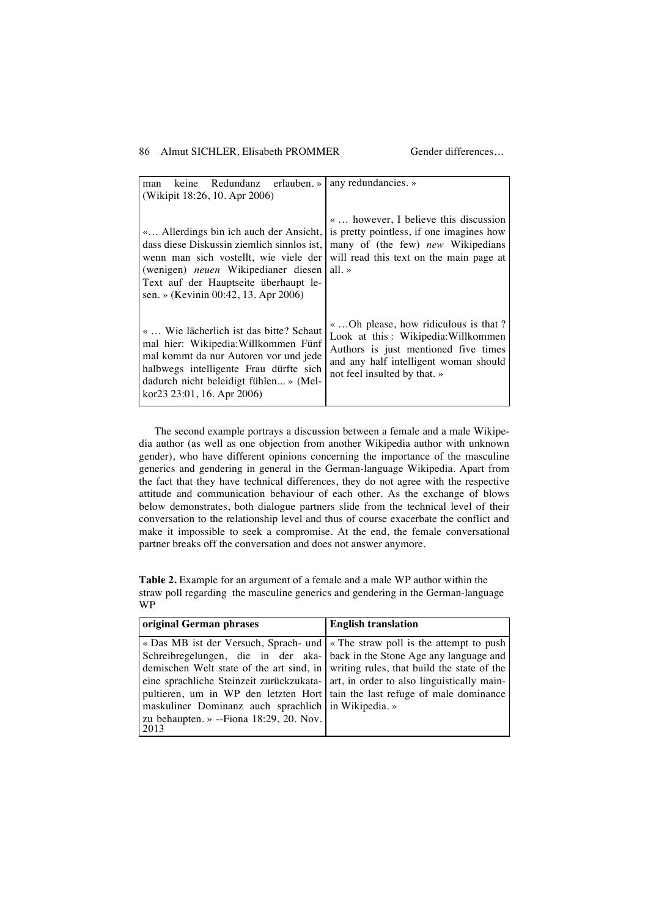| keine Redundanz erlauben. » any redundancies. »<br>man<br>(Wikipit 18:26, 10. Apr 2006)                                                                                                                                                                      |                                                                                                                                                                                              |
|--------------------------------------------------------------------------------------------------------------------------------------------------------------------------------------------------------------------------------------------------------------|----------------------------------------------------------------------------------------------------------------------------------------------------------------------------------------------|
| « Allerdings bin ich auch der Ansicht,<br>dass diese Diskussin ziemlich sinnlos ist,<br>wenn man sich vostellt, wie viele der<br>(wenigen) <i>neuen</i> Wikipedianer diesen<br>Text auf der Hauptseite überhaupt le-<br>sen. » (Kevinin 00:42, 13. Apr 2006) | «  however, I believe this discussion<br>is pretty pointless, if one imagines how<br>many of (the few) new Wikipedians<br>will read this text on the main page at<br>all. $\ast$             |
| «  Wie lächerlich ist das bitte? Schaut<br>mal hier: Wikipedia: Willkommen Fünf<br>mal kommt da nur Autoren vor und jede<br>halbwegs intelligente Frau dürfte sich<br>dadurch nicht beleidigt fühlen » (Mel-<br>kor23 23:01, 16. Apr 2006)                   | « Oh please, how ridiculous is that?<br>Look at this: Wikipedia: Willkommen<br>Authors is just mentioned five times<br>and any half intelligent woman should<br>not feel insulted by that. » |

The second example portrays a discussion between a female and a male Wikipedia author (as well as one objection from another Wikipedia author with unknown gender), who have different opinions concerning the importance of the masculine generics and gendering in general in the German-language Wikipedia. Apart from the fact that they have technical differences, they do not agree with the respective attitude and communication behaviour of each other. As the exchange of blows below demonstrates, both dialogue partners slide from the technical level of their conversation to the relationship level and thus of course exacerbate the conflict and make it impossible to seek a compromise. At the end, the female conversational partner breaks off the conversation and does not answer anymore.

**Table 2.** Example for an argument of a female and a male WP author within the straw poll regarding the masculine generics and gendering in the German-language WP

| original German phrases                                                                                                                                                                                                                                                                                                                                                                                                                                                                                                             | <b>English translation</b> |
|-------------------------------------------------------------------------------------------------------------------------------------------------------------------------------------------------------------------------------------------------------------------------------------------------------------------------------------------------------------------------------------------------------------------------------------------------------------------------------------------------------------------------------------|----------------------------|
| « Das MB ist der Versuch, Sprach- und   « The straw poll is the attempt to push<br>Schreibregelungen, die in der aka- back in the Stone Age any language and<br>demischen Welt state of the art sind, in writing rules, that build the state of the<br>eine sprachliche Steinzeit zurückzukata- art, in order to also linguistically main-<br>pultieren, um in WP den letzten Hort tain the last refuge of male dominance<br>maskuliner Dominanz auch sprachlich in Wikipedia.»<br>zu behaupten. » $-Fiona$ 18:29, 20. Nov.<br>2013 |                            |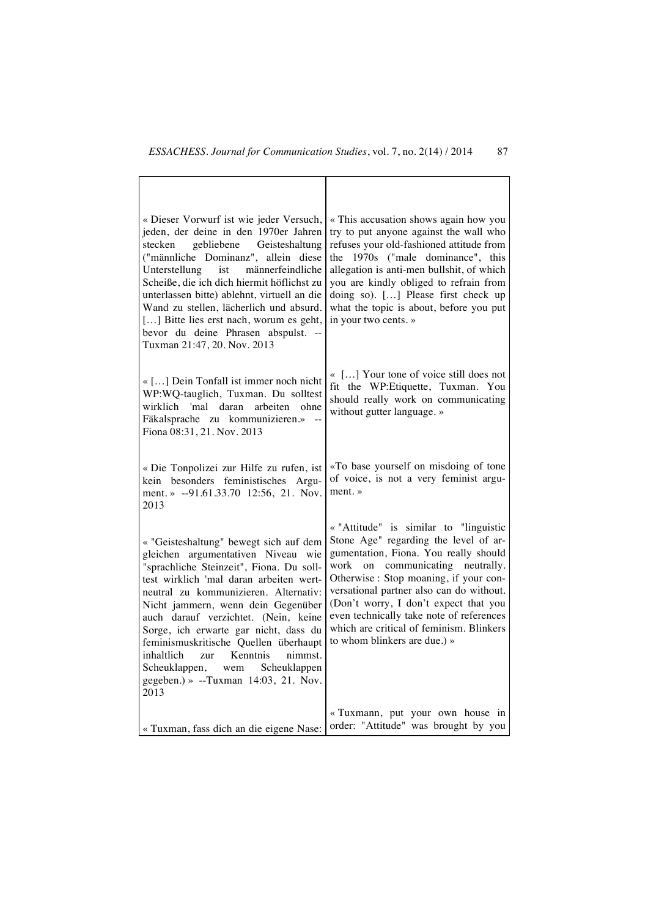| « Dieser Vorwurf ist wie jeder Versuch,<br>jeden, der deine in den 1970er Jahren<br>stecken<br>gebliebene Geisteshaltung<br>("männliche Dominanz", allein diese<br>männerfeindliche<br>Unterstellung<br>ist<br>Scheiße, die ich dich hiermit höflichst zu<br>unterlassen bitte) ablehnt, virtuell an die<br>Wand zu stellen, lächerlich und absurd.<br>[] Bitte lies erst nach, worum es geht,<br>bevor du deine Phrasen abspulst. --<br>Tuxman 21:47, 20. Nov. 2013                                       | « This accusation shows again how you<br>try to put anyone against the wall who<br>refuses your old-fashioned attitude from<br>the 1970s ("male dominance", this<br>allegation is anti-men bullshit, of which<br>you are kindly obliged to refrain from<br>doing so). [] Please first check up<br>what the topic is about, before you put<br>in your two cents.»                                                       |
|------------------------------------------------------------------------------------------------------------------------------------------------------------------------------------------------------------------------------------------------------------------------------------------------------------------------------------------------------------------------------------------------------------------------------------------------------------------------------------------------------------|------------------------------------------------------------------------------------------------------------------------------------------------------------------------------------------------------------------------------------------------------------------------------------------------------------------------------------------------------------------------------------------------------------------------|
| « [] Dein Tonfall ist immer noch nicht<br>WP:WQ-tauglich, Tuxman. Du solltest<br>wirklich 'mal daran<br>arbeiten<br>ohne<br>Fäkalsprache zu kommunizieren.»<br>Fiona 08:31, 21. Nov. 2013                                                                                                                                                                                                                                                                                                                  | « [] Your tone of voice still does not<br>fit the WP: Etiquette, Tuxman. You<br>should really work on communicating<br>without gutter language.»                                                                                                                                                                                                                                                                       |
| « Die Tonpolizei zur Hilfe zu rufen, ist<br>kein besonders feministisches Argu-<br>ment. » --91.61.33.70 12:56, 21. Nov.<br>2013                                                                                                                                                                                                                                                                                                                                                                           | «To base yourself on misdoing of tone<br>of voice, is not a very feminist argu-<br>$ment.$ $\rightarrow$                                                                                                                                                                                                                                                                                                               |
| « "Geisteshaltung" bewegt sich auf dem<br>gleichen argumentativen Niveau wie<br>"sprachliche Steinzeit", Fiona. Du soll-<br>test wirklich 'mal daran arbeiten wert-<br>neutral zu kommunizieren. Alternativ:<br>Nicht jammern, wenn dein Gegenüber<br>auch darauf verzichtet. (Nein, keine<br>Sorge, ich erwarte gar nicht, dass du<br>feminismuskritische Quellen überhaupt<br>Kenntnis<br>inhaltlich<br>nimmst.<br>zur<br>Scheuklappen, wem Scheuklappen<br>gegeben.) » --Tuxman 14:03, 21. Nov.<br>2013 | « "Attitude" is similar to "linguistic<br>Stone Age" regarding the level of ar-<br>gumentation, Fiona. You really should<br>communicating neutrally.<br>work on<br>Otherwise : Stop moaning, if your con-<br>versational partner also can do without.<br>(Don't worry, I don't expect that you<br>even technically take note of references<br>which are critical of feminism. Blinkers<br>to whom blinkers are due.) » |
| « Tuxman, fass dich an die eigene Nase:                                                                                                                                                                                                                                                                                                                                                                                                                                                                    | « Tuxmann, put your own house in<br>order: "Attitude" was brought by you                                                                                                                                                                                                                                                                                                                                               |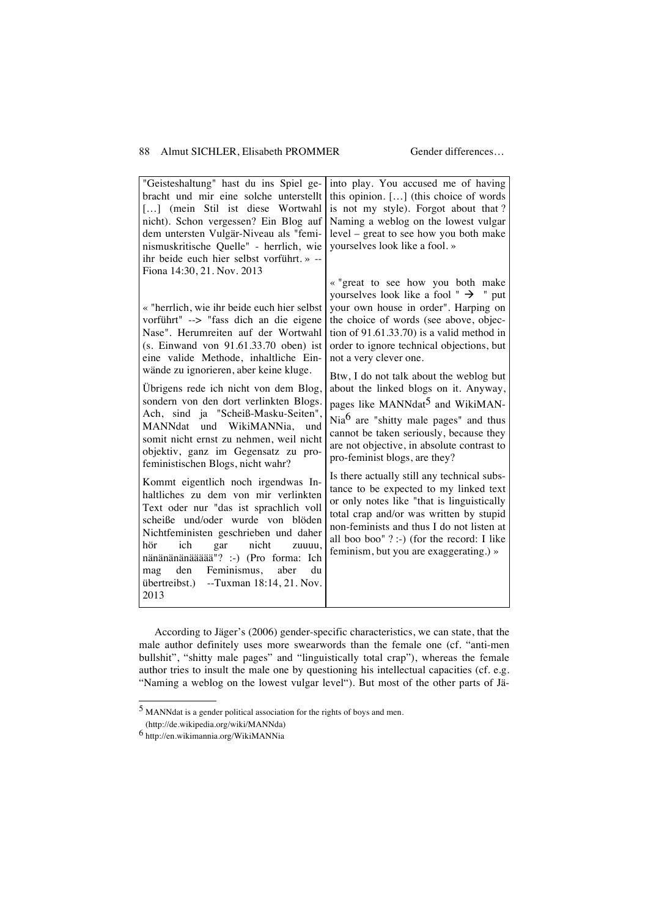| "Geisteshaltung" hast du ins Spiel ge-<br>bracht und mir eine solche unterstellt<br>[] (mein Stil ist diese Wortwahl<br>nicht). Schon vergessen? Ein Blog auf<br>dem untersten Vulgär-Niveau als "femi-<br>nismuskritische Quelle" - herrlich, wie<br>ihr beide euch hier selbst vorführt. » --<br>Fiona 14:30, 21. Nov. 2013                                                                                                                                                                                                                                                                                                                                                                                                                                                                                                                                                                                                   | into play. You accused me of having<br>this opinion. [] (this choice of words<br>is not my style). Forgot about that?<br>Naming a weblog on the lowest vulgar<br>level – great to see how you both make<br>yourselves look like a fool. »                                                                                                                                                                                                                                                                                                                                                                                                                                                                                                                                                                                                                                                                                                 |
|---------------------------------------------------------------------------------------------------------------------------------------------------------------------------------------------------------------------------------------------------------------------------------------------------------------------------------------------------------------------------------------------------------------------------------------------------------------------------------------------------------------------------------------------------------------------------------------------------------------------------------------------------------------------------------------------------------------------------------------------------------------------------------------------------------------------------------------------------------------------------------------------------------------------------------|-------------------------------------------------------------------------------------------------------------------------------------------------------------------------------------------------------------------------------------------------------------------------------------------------------------------------------------------------------------------------------------------------------------------------------------------------------------------------------------------------------------------------------------------------------------------------------------------------------------------------------------------------------------------------------------------------------------------------------------------------------------------------------------------------------------------------------------------------------------------------------------------------------------------------------------------|
| « "herrlich, wie ihr beide euch hier selbst<br>vorführt" --> "fass dich an die eigene<br>Nase". Herumreiten auf der Wortwahl<br>(s. Einwand von 91.61.33.70 oben) ist<br>eine valide Methode, inhaltliche Ein-<br>wände zu ignorieren, aber keine kluge.<br>Übrigens rede ich nicht von dem Blog,<br>sondern von den dort verlinkten Blogs.<br>Ach, sind ja "Scheiß-Masku-Seiten",<br>MANNdat und WikiMANNia,<br>und<br>somit nicht ernst zu nehmen, weil nicht<br>objektiv, ganz im Gegensatz zu pro-<br>feministischen Blogs, nicht wahr?<br>Kommt eigentlich noch irgendwas In-<br>haltliches zu dem von mir verlinkten<br>Text oder nur "das ist sprachlich voll<br>scheiße und/oder wurde von blöden<br>Nichtfeministen geschrieben und daher<br>nicht<br>hör<br>ich<br>gar<br>zuuuu,<br>nänänänänäääää"? :-) (Pro forma: Ich<br>den<br>Feminismus,<br>aber<br>mag<br>du<br>übertreibst.) --Tuxman 18:14, 21. Nov.<br>2013 | « "great to see how you both make<br>yourselves look like a fool " $\rightarrow$ " put<br>your own house in order". Harping on<br>the choice of words (see above, objec-<br>tion of $91.61.33.70$ ) is a valid method in<br>order to ignore technical objections, but<br>not a very clever one.<br>Btw, I do not talk about the weblog but<br>about the linked blogs on it. Anyway,<br>pages like MANNdat <sup>5</sup> and WikiMAN-<br>Nia <sup>6</sup> are "shitty male pages" and thus<br>cannot be taken seriously, because they<br>are not objective, in absolute contrast to<br>pro-feminist blogs, are they?<br>Is there actually still any technical subs-<br>tance to be expected to my linked text<br>or only notes like "that is linguistically<br>total crap and/or was written by stupid<br>non-feminists and thus I do not listen at<br>all boo boo" ? :-) (for the record: I like<br>feminism, but you are exaggerating.) » |

According to Jäger's (2006) gender-specific characteristics, we can state, that the male author definitely uses more swearwords than the female one (cf. "anti-men bullshit", "shitty male pages" and "linguistically total crap"), whereas the female author tries to insult the male one by questioning his intellectual capacities (cf. e.g. "Naming a weblog on the lowest vulgar level"). But most of the other parts of Jä-

l

 $<sup>5</sup>$  MANNdat is a gender political association for the rights of boys and men.</sup>

 <sup>(</sup>http://de.wikipedia.org/wiki/MANNda)

<sup>6</sup> http://en.wikimannia.org/WikiMANNia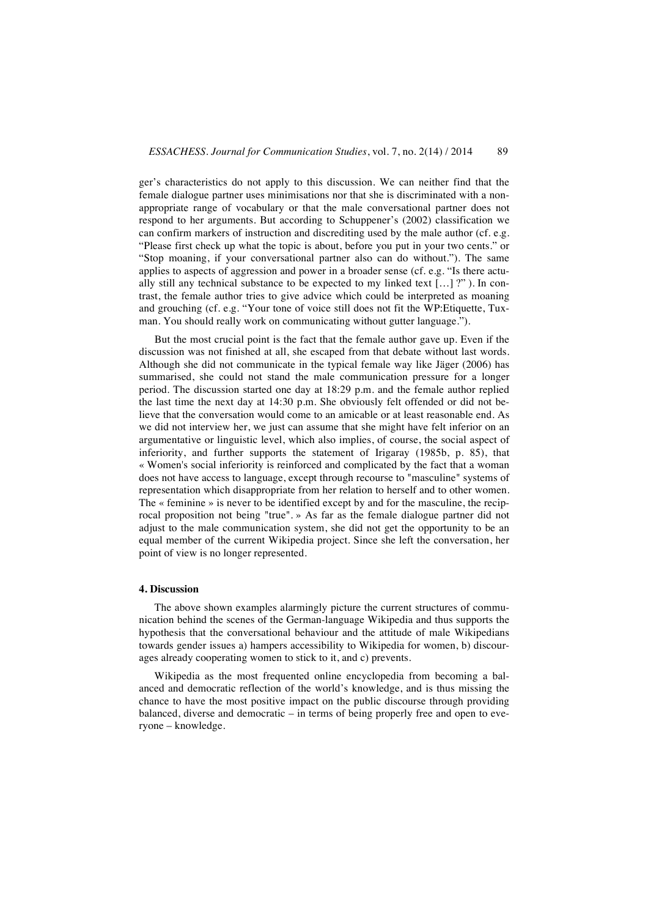ger's characteristics do not apply to this discussion. We can neither find that the female dialogue partner uses minimisations nor that she is discriminated with a nonappropriate range of vocabulary or that the male conversational partner does not respond to her arguments. But according to Schuppener's (2002) classification we can confirm markers of instruction and discrediting used by the male author (cf. e.g. "Please first check up what the topic is about, before you put in your two cents." or "Stop moaning, if your conversational partner also can do without."). The same applies to aspects of aggression and power in a broader sense (cf. e.g. "Is there actually still any technical substance to be expected to my linked text  $\left[ \ldots \right]$  ?"). In contrast, the female author tries to give advice which could be interpreted as moaning and grouching (cf. e.g. "Your tone of voice still does not fit the WP:Etiquette, Tuxman. You should really work on communicating without gutter language.").

But the most crucial point is the fact that the female author gave up. Even if the discussion was not finished at all, she escaped from that debate without last words. Although she did not communicate in the typical female way like Jäger (2006) has summarised, she could not stand the male communication pressure for a longer period. The discussion started one day at 18:29 p.m. and the female author replied the last time the next day at 14:30 p.m. She obviously felt offended or did not believe that the conversation would come to an amicable or at least reasonable end. As we did not interview her, we just can assume that she might have felt inferior on an argumentative or linguistic level, which also implies, of course, the social aspect of inferiority, and further supports the statement of Irigaray (1985b, p. 85), that « Women's social inferiority is reinforced and complicated by the fact that a woman does not have access to language, except through recourse to "masculine" systems of representation which disappropriate from her relation to herself and to other women. The « feminine » is never to be identified except by and for the masculine, the reciprocal proposition not being "true". » As far as the female dialogue partner did not adjust to the male communication system, she did not get the opportunity to be an equal member of the current Wikipedia project. Since she left the conversation, her point of view is no longer represented.

### **4. Discussion**

The above shown examples alarmingly picture the current structures of communication behind the scenes of the German-language Wikipedia and thus supports the hypothesis that the conversational behaviour and the attitude of male Wikipedians towards gender issues a) hampers accessibility to Wikipedia for women, b) discourages already cooperating women to stick to it, and c) prevents.

Wikipedia as the most frequented online encyclopedia from becoming a balanced and democratic reflection of the world's knowledge, and is thus missing the chance to have the most positive impact on the public discourse through providing balanced, diverse and democratic – in terms of being properly free and open to everyone – knowledge.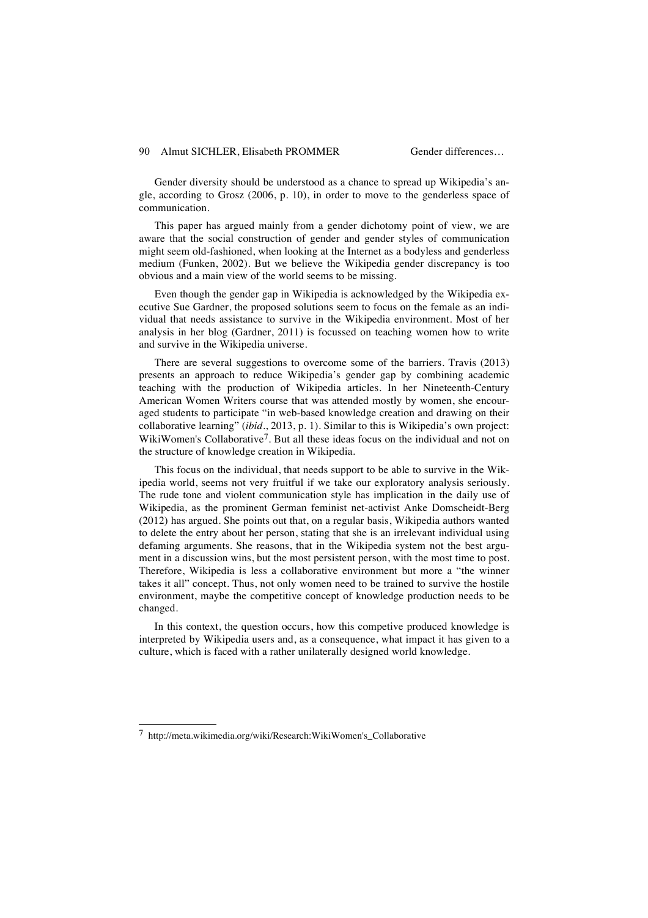Gender diversity should be understood as a chance to spread up Wikipedia's angle, according to Grosz (2006, p. 10), in order to move to the genderless space of communication.

This paper has argued mainly from a gender dichotomy point of view, we are aware that the social construction of gender and gender styles of communication might seem old-fashioned, when looking at the Internet as a bodyless and genderless medium (Funken, 2002). But we believe the Wikipedia gender discrepancy is too obvious and a main view of the world seems to be missing.

Even though the gender gap in Wikipedia is acknowledged by the Wikipedia executive Sue Gardner, the proposed solutions seem to focus on the female as an individual that needs assistance to survive in the Wikipedia environment. Most of her analysis in her blog (Gardner, 2011) is focussed on teaching women how to write and survive in the Wikipedia universe.

There are several suggestions to overcome some of the barriers. Travis (2013) presents an approach to reduce Wikipedia's gender gap by combining academic teaching with the production of Wikipedia articles. In her Nineteenth-Century American Women Writers course that was attended mostly by women, she encouraged students to participate "in web-based knowledge creation and drawing on their collaborative learning" (*ibid*., 2013, p. 1). Similar to this is Wikipedia's own project: WikiWomen's Collaborative<sup>7</sup>. But all these ideas focus on the individual and not on the structure of knowledge creation in Wikipedia.

This focus on the individual, that needs support to be able to survive in the Wikipedia world, seems not very fruitful if we take our exploratory analysis seriously. The rude tone and violent communication style has implication in the daily use of Wikipedia, as the prominent German feminist net-activist Anke Domscheidt-Berg (2012) has argued. She points out that, on a regular basis, Wikipedia authors wanted to delete the entry about her person, stating that she is an irrelevant individual using defaming arguments. She reasons, that in the Wikipedia system not the best argument in a discussion wins, but the most persistent person, with the most time to post. Therefore, Wikipedia is less a collaborative environment but more a "the winner takes it all" concept. Thus, not only women need to be trained to survive the hostile environment, maybe the competitive concept of knowledge production needs to be changed.

In this context, the question occurs, how this competive produced knowledge is interpreted by Wikipedia users and, as a consequence, what impact it has given to a culture, which is faced with a rather unilaterally designed world knowledge.

l

<sup>7</sup> http://meta.wikimedia.org/wiki/Research:WikiWomen's\_Collaborative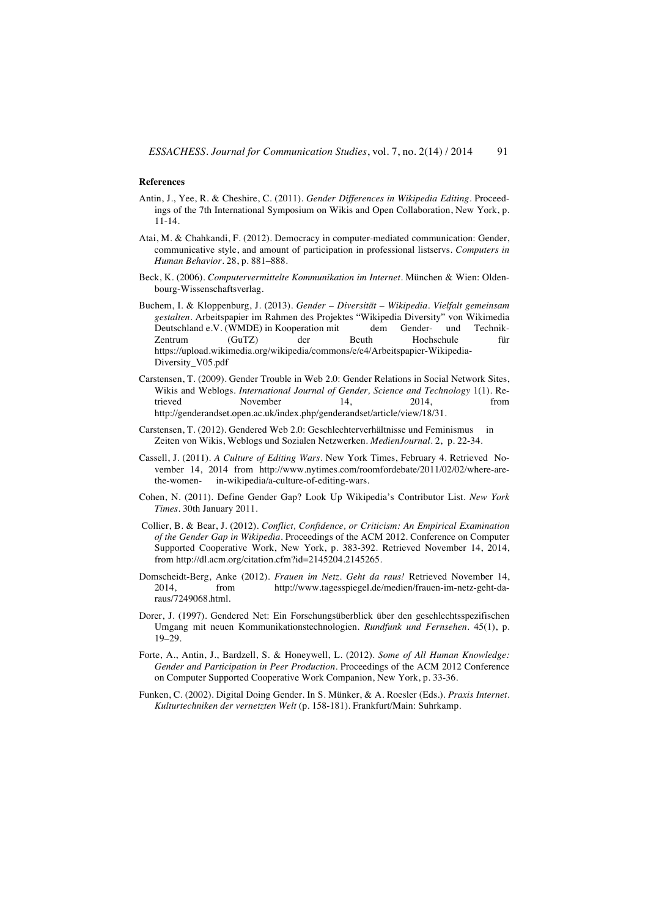#### **References**

- Antin, J., Yee, R. & Cheshire, C. (2011). *Gender Differences in Wikipedia Editing.* Proceedings of the 7th International Symposium on Wikis and Open Collaboration, New York, p. 11-14.
- Atai, M. & Chahkandi, F. (2012). Democracy in computer-mediated communication: Gender, communicative style, and amount of participation in professional listservs. *Computers in Human Behavior.* 28, p. 881–888.
- Beck, K. (2006). *Computervermittelte Kommunikation im Internet*. München & Wien: Oldenbourg-Wissenschaftsverlag.
- Buchem, I. & Kloppenburg, J. (2013). *Gender Diversität Wikipedia. Vielfalt gemeinsam gestalten*. Arbeitspapier im Rahmen des Projektes "Wikipedia Diversity" von Wikimedia Deutschland e.V. (WMDE) in Kooperation mit dem Gender- und Technik-Zentrum (GuTZ) der Beuth Hochschule für https://upload.wikimedia.org/wikipedia/commons/e/e4/Arbeitspapier-Wikipedia-Diversity\_V05.pdf
- Carstensen, T. (2009). Gender Trouble in Web 2.0: Gender Relations in Social Network Sites, Wikis and Weblogs. *International Journal of Gender, Science and Technology* 1(1). Re-<br>trieved November 14 2014 from trieved November 14, 2014, from http://genderandset.open.ac.uk/index.php/genderandset/article/view/18/31.
- Carstensen, T. (2012). Gendered Web 2.0: Geschlechterverhältnisse und Feminismus in Zeiten von Wikis, Weblogs und Sozialen Netzwerken. *MedienJournal.* 2, p. 22-34.
- Cassell, J. (2011). *A Culture of Editing Wars*. New York Times, February 4. Retrieved November 14, 2014 from http://www.nytimes.com/roomfordebate/2011/02/02/where-arethe-women- in-wikipedia/a-culture-of-editing-wars.
- Cohen, N. (2011). Define Gender Gap? Look Up Wikipedia's Contributor List. *New York Times*. 30th January 2011.
- Collier, B. & Bear, J. (2012). *Conflict, Confidence, or Criticism: An Empirical Examination of the Gender Gap in Wikipedia*. Proceedings of the ACM 2012. Conference on Computer Supported Cooperative Work, New York, p. 383-392. Retrieved November 14, 2014, from http://dl.acm.org/citation.cfm?id=2145204.2145265.
- Domscheidt-Berg, Anke (2012). *Frauen im Netz. Geht da raus!* Retrieved November 14, 2014, from http://www.tagesspiegel.de/medien/frauen-im-netz-geht-daraus/7249068.html.
- Dorer, J. (1997). Gendered Net: Ein Forschungsüberblick über den geschlechtsspezifischen Umgang mit neuen Kommunikationstechnologien. *Rundfunk und Fernsehen*. 45(1), p. 19–29.
- Forte, A., Antin, J., Bardzell, S. & Honeywell, L. (2012). *Some of All Human Knowledge: Gender and Participation in Peer Production*. Proceedings of the ACM 2012 Conference on Computer Supported Cooperative Work Companion, New York, p. 33-36.
- Funken, C. (2002). Digital Doing Gender. In S. Münker, & A. Roesler (Eds.). *Praxis Internet. Kulturtechniken der vernetzten Welt* (p. 158-181). Frankfurt/Main: Suhrkamp.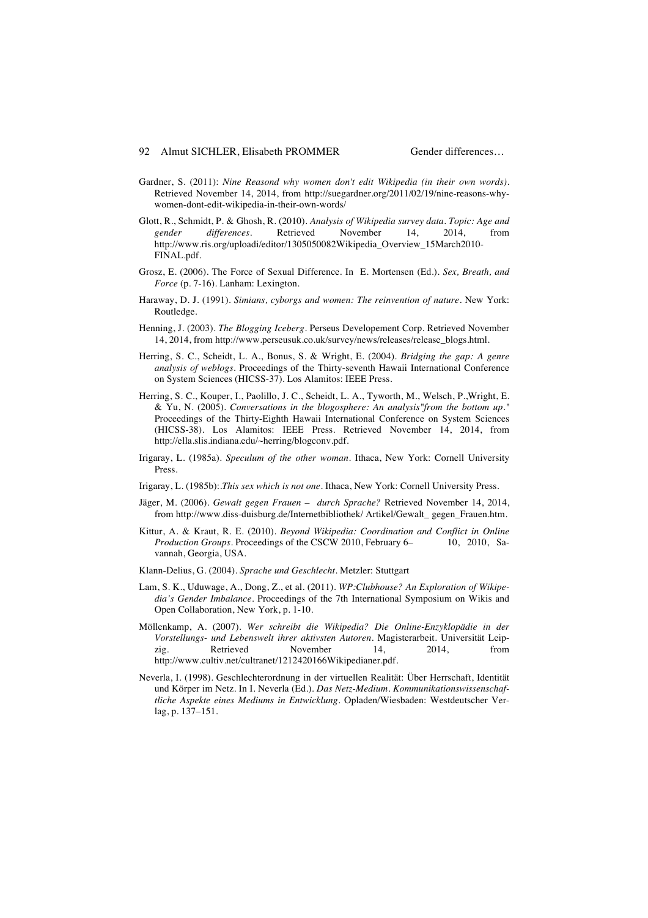- Gardner, S. (2011): *Nine Reasond why women don't edit Wikipedia (in their own words)*. Retrieved November 14, 2014, from http://suegardner.org/2011/02/19/nine-reasons-whywomen-dont-edit-wikipedia-in-their-own-words/
- Glott, R., Schmidt, P. & Ghosh, R. (2010). *Analysis of Wikipedia survey data. Topic: Age and gender differences*. Retrieved November 14, 2014, from differences. Retrieved November 14, 2014, from http://www.ris.org/uploadi/editor/1305050082Wikipedia\_Overview\_15March2010- FINAL.pdf.
- Grosz, E. (2006). The Force of Sexual Difference. In E. Mortensen (Ed.). *Sex, Breath, and Force* (p. 7-16). Lanham: Lexington.
- Haraway, D. J. (1991). *Simians, cyborgs and women: The reinvention of nature*. New York: Routledge.
- Henning, J. (2003). *The Blogging Iceberg*. Perseus Developement Corp. Retrieved November 14, 2014, from http://www.perseusuk.co.uk/survey/news/releases/release\_blogs.html.
- Herring, S. C., Scheidt, L. A., Bonus, S. & Wright, E. (2004). *Bridging the gap: A genre analysis of weblogs*. Proceedings of the Thirty-seventh Hawaii International Conference on System Sciences (HICSS-37). Los Alamitos: IEEE Press.
- Herring, S. C., Kouper, I., Paolillo, J. C., Scheidt, L. A., Tyworth, M., Welsch, P.,Wright, E. & Yu, N. (2005). *Conversations in the blogosphere: An analysis"from the bottom up."* Proceedings of the Thirty-Eighth Hawaii International Conference on System Sciences (HICSS-38). Los Alamitos: IEEE Press. Retrieved November 14, 2014, from http://ella.slis.indiana.edu/~herring/blogconv.pdf.
- Irigaray, L. (1985a). *Speculum of the other woman*. Ithaca, New York: Cornell University Press.
- Irigaray, L. (1985b):.*This sex which is not one*. Ithaca, New York: Cornell University Press.
- Jäger, M. (2006). *Gewalt gegen Frauen durch Sprache?* Retrieved November 14, 2014, from http://www.diss-duisburg.de/Internetbibliothek/ Artikel/Gewalt\_ gegen\_Frauen.htm.
- Kittur, A. & Kraut, R. E. (2010). *Beyond Wikipedia: Coordination and Conflict in Online Production Groups*. Proceedings of the CSCW 2010, February 6– vannah, Georgia, USA.
- Klann-Delius, G. (2004). *Sprache und Geschlecht*. Metzler: Stuttgart
- Lam, S. K., Uduwage, A., Dong, Z., et al. (2011). *WP:Clubhouse? An Exploration of Wikipedia's Gender Imbalance*. Proceedings of the 7th International Symposium on Wikis and Open Collaboration, New York, p. 1-10.
- Möllenkamp, A. (2007). *Wer schreibt die Wikipedia? Die Online-Enzyklopädie in der Vorstellungs- und Lebenswelt ihrer aktivsten Autoren*. Magisterarbeit. Universität Leipzig. Retrieved November 14, 2014, from http://www.cultiv.net/cultranet/1212420166Wikipedianer.pdf.
- Neverla, I. (1998). Geschlechterordnung in der virtuellen Realität: Über Herrschaft, Identität und Körper im Netz. In I. Neverla (Ed.). *Das Netz-Medium. Kommunikationswissenschaftliche Aspekte eines Mediums in Entwicklung.* Opladen/Wiesbaden: Westdeutscher Verlag, p. 137–151.